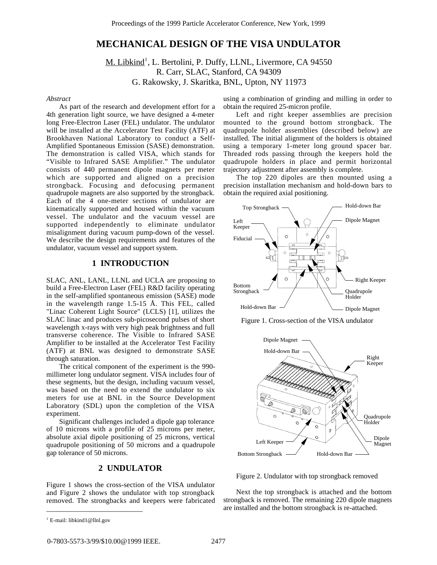# **MECHANICAL DESIGN OF THE VISA UNDULATOR**

M. Libkind<sup>1</sup>, L. Bertolini, P. Duffy, LLNL, Livermore, CA 94550 R. Carr, SLAC, Stanford, CA 94309 G. Rakowsky, J. Skaritka, BNL, Upton, NY 11973

#### *Abstract*

As part of the research and development effort for a 4th generation light source, we have designed a 4-meter long Free-Electron Laser (FEL) undulator. The undulator will be installed at the Accelerator Test Facility (ATF) at Brookhaven National Laboratory to conduct a Self-Amplified Spontaneous Emission (SASE) demonstration. The demonstration is called VISA, which stands for "Visible to Infrared SASE Amplifier." The undulator consists of 440 permanent dipole magnets per meter which are supported and aligned on a precision strongback. Focusing and defocusing permanent quadrupole magnets are also supported by the strongback. Each of the 4 one-meter sections of undulator are kinematically supported and housed within the vacuum vessel. The undulator and the vacuum vessel are supported independently to eliminate undulator misalignment during vacuum pump-down of the vessel. We describe the design requirements and features of the undulator, vacuum vessel and support system.

# **1 INTRODUCTION**

SLAC, ANL, LANL, LLNL and UCLA are proposing to build a Free-Electron Laser (FEL) R&D facility operating in the self-amplified spontaneous emission (SASE) mode in the wavelength range 1.5-15 Å. This FEL, called "Linac Coherent Light Source" (LCLS) [1], utilizes the SLAC linac and produces sub-picosecond pulses of short wavelength x-rays with very high peak brightness and full transverse coherence. The Visible to Infrared SASE Amplifier to be installed at the Accelerator Test Facility (ATF) at BNL was designed to demonstrate SASE through saturation.

The critical component of the experiment is the 990 millimeter long undulator segment. VISA includes four of these segments, but the design, including vacuum vessel, was based on the need to extend the undulator to six meters for use at BNL in the Source Development Laboratory (SDL) upon the completion of the VISA experiment.

Significant challenges included a dipole gap tolerance of 10 microns with a profile of 25 microns per meter, absolute axial dipole positioning of 25 microns, vertical quadrupole positioning of 50 microns and a quadrupole gap tolerance of 50 microns.

## **2 UNDULATOR**

Figure 1 shows the cross-section of the VISA undulator and Figure 2 shows the undulator with top strongback removed. The strongbacks and keepers were fabricated using a combination of grinding and milling in order to obtain the required 25-micron profile.

Left and right keeper assemblies are precision mounted to the ground bottom strongback. The quadrupole holder assemblies (described below) are installed. The initial alignment of the holders is obtained using a temporary 1-meter long ground spacer bar. Threaded rods passing through the keepers hold the quadrupole holders in place and permit horizontal trajectory adjustment after assembly is complete.

The top 220 dipoles are then mounted using a precision installation mechanism and hold-down bars to obtain the required axial positioning.



Figure 1. Cross-section of the VISA undulator



Figure 2. Undulator with top strongback removed

Next the top strongback is attached and the bottom strongback is removed. The remaining 220 dipole magnets are installed and the bottom strongback is re-attached.

\_\_\_\_\_\_\_\_\_\_\_\_\_\_\_\_\_\_\_\_\_\_\_\_\_\_\_

<sup>&</sup>lt;sup>1</sup> E-mail: libkind1@llnl.gov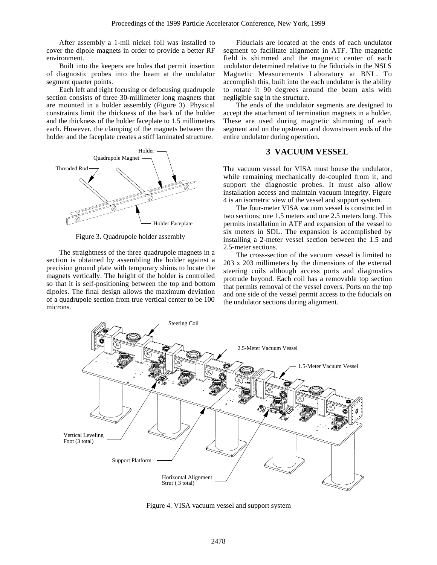After assembly a 1-mil nickel foil was installed to cover the dipole magnets in order to provide a better RF environment.

Built into the keepers are holes that permit insertion of diagnostic probes into the beam at the undulator segment quarter points.

Each left and right focusing or defocusing quadrupole section consists of three 30-millimeter long magnets that are mounted in a holder assembly (Figure 3). Physical constraints limit the thickness of the back of the holder and the thickness of the holder faceplate to 1.5 millimeters each. However, the clamping of the magnets between the holder and the faceplate creates a stiff laminated structure.



Figure 3. Quadrupole holder assembly

The straightness of the three quadrupole magnets in a section is obtained by assembling the holder against a precision ground plate with temporary shims to locate the magnets vertically. The height of the holder is controlled so that it is self-positioning between the top and bottom dipoles. The final design allows the maximum deviation of a quadrupole section from true vertical center to be 100 microns.

Fiducials are located at the ends of each undulator segment to facilitate alignment in ATF. The magnetic field is shimmed and the magnetic center of each undulator determined relative to the fiducials in the NSLS Magnetic Measurements Laboratory at BNL. To accomplish this, built into the each undulator is the ability to rotate it 90 degrees around the beam axis with negligible sag in the structure.

The ends of the undulator segments are designed to accept the attachment of termination magnets in a holder. These are used during magnetic shimming of each segment and on the upstream and downstream ends of the entire undulator during operation.

### **3 VACUUM VESSEL**

The vacuum vessel for VISA must house the undulator, while remaining mechanically de-coupled from it, and support the diagnostic probes. It must also allow installation access and maintain vacuum integrity. Figure 4 is an isometric view of the vessel and support system.

The four-meter VISA vacuum vessel is constructed in two sections; one 1.5 meters and one 2.5 meters long. This permits installation in ATF and expansion of the vessel to six meters in SDL. The expansion is accomplished by installing a 2-meter vessel section between the 1.5 and 2.5-meter sections.

The cross-section of the vacuum vessel is limited to 203 x 203 millimeters by the dimensions of the external steering coils although access ports and diagnostics protrude beyond. Each coil has a removable top section that permits removal of the vessel covers. Ports on the top and one side of the vessel permit access to the fiducials on the undulator sections during alignment.



Figure 4. VISA vacuum vessel and support system